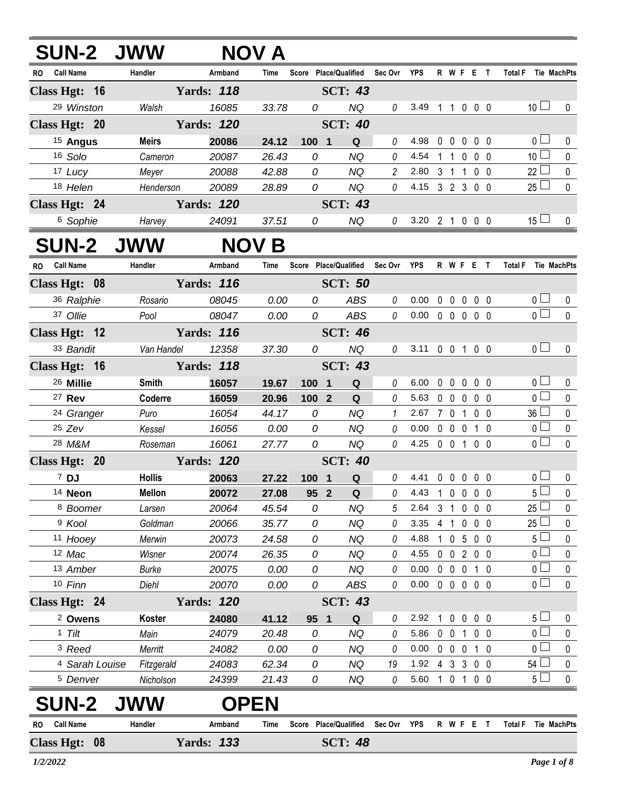| <b>SUN-2 JWW</b>        |                       |                   | <b>NOV A</b>   |              |                                   |                |                        |            |                      |     |                                  |                |
|-------------------------|-----------------------|-------------------|----------------|--------------|-----------------------------------|----------------|------------------------|------------|----------------------|-----|----------------------------------|----------------|
| <b>Call Name</b><br>RO. | Handler               | Armband           | Time           |              | Score Place/Qualified Sec Ovr YPS |                |                        |            | R W F E T            |     | Total F Tie MachPts              |                |
| Class Hgt: 16           |                       | <b>Yards: 118</b> |                |              | <b>SCT: 43</b>                    |                |                        |            |                      |     |                                  |                |
| 29 Winston              | Walsh                 | 16085             | 33.78          | 0            | <b>NQ</b>                         | 0              | 3.49 1 1 0 0 0         |            |                      |     | 10 <sup>1</sup>                  | $\mathbf 0$    |
| Class Hgt: 20           |                       | <b>Yards: 120</b> |                |              | <b>SCT: 40</b>                    |                |                        |            |                      |     |                                  |                |
| <sup>15</sup> Angus     | <b>Meirs</b>          | 20086             | 24.12          | 100 1        | Q                                 | 0              | 4.98                   |            | 00000                |     | 0 <sub>1</sub>                   | 0              |
| 16 Solo                 | Cameron               | 20087             | 26.43          | 0            | <b>NQ</b>                         | 0              | 4.54                   |            | 1 1 0 0 0            |     | 10 <sup>1</sup>                  | $\pmb{0}$      |
| 17 Lucy                 | Meyer                 | 20088             | 42.88          | 0            | <b>NQ</b>                         | $\overline{a}$ | 2.80                   |            | 3 1 1 0 0            |     | $22$ $\Box$                      | $\pmb{0}$      |
| 18 Helen                | Henderson             | 20089             | 28.89          | 0            | <b>NQ</b>                         | $\theta$       | 4.15 3 2 3 0 0         |            |                      |     | $25\Box$                         | $\mathbf 0$    |
| Class Hgt: 24           |                       | <b>Yards: 120</b> |                |              | <b>SCT: 43</b>                    |                |                        |            |                      |     |                                  |                |
| <sup>6</sup> Sophie     | Harvey                | 24091             | 37.51          | 0            | <b>NQ</b>                         | 0              | 3.20 2 1 0 0 0         |            |                      |     | $15 \Box$                        | $\mathbf 0$    |
| <b>SUN-2 JWW</b>        |                       |                   | <b>NOV B</b>   |              |                                   |                |                        |            |                      |     |                                  |                |
| RO Call Name            | Handler               | Armband           | Time           |              | Score Place/Qualified Sec Ovr YPS |                |                        |            |                      |     | R W F E T Total F Tie MachPts    |                |
| Class Hgt: 08           |                       | <b>Yards: 116</b> |                |              | <b>SCT: 50</b>                    |                |                        |            |                      |     |                                  |                |
| 36 Ralphie              | Rosario               | 08045             | 0.00           | 0            | ABS                               | 0              | 0.00                   |            | 0 0 0 0 0            |     | $\overline{0}$                   | 0              |
| 37 Ollie                | Pool                  | 08047             | 0.00           | 0            | ABS                               | 0              | $0.00 \t0 \t0 \t0 \t0$ |            |                      |     | $\overline{0}$                   | $\mathbf 0$    |
| Class Hgt: 12           |                       | <b>Yards: 116</b> |                |              | <b>SCT: 46</b>                    |                |                        |            |                      |     |                                  |                |
| 33 Bandit               | Van Handel            | 12358             | 37.30          | 0            | <b>NQ</b>                         | $\theta$       | 3.11 0 0 1 0 0         |            |                      |     | 0 <sub>0</sub>                   | $\mathbf 0$    |
| Class Hgt: 16           |                       | <b>Yards: 118</b> |                |              | <b>SCT: 43</b>                    |                |                        |            |                      |     |                                  |                |
| <sup>26</sup> Millie    | Smith                 | 16057             | 19.67          | 100 1        | Q                                 | 0              | 6.00                   |            | 00000                |     | 0 <sub>0</sub>                   | 0              |
| 27 Rev                  | Coderre               | 16059             | 20.96          | 100 2        | Q                                 | 0              | 5.63                   |            | 00000                |     | 0 <sub>0</sub>                   | $\pmb{0}$      |
| <sup>24</sup> Granger   | Puro                  | 16054             | 44.17          | 0            | <b>NQ</b>                         | $\mathcal I$   | 2.67 7 0 1 0 0         |            |                      |     | $36 \Box$                        | $\pmb{0}$      |
| $25$ Zev                | Kessel                | 16056             | 0.00           | 0            | <b>NQ</b>                         | 0              | $0.00\,$               |            | 0 0 0 1 0            |     | 0 <sub>l</sub>                   | $\pmb{0}$      |
| 28 M&M                  | Roseman               | 16061             | 27.77          | 0            | <b>NQ</b>                         | 0              | 4.25 0 0 1 0 0         |            |                      |     | $\overline{0}$                   | $\mathbf 0$    |
| Class Hgt: 20           |                       | <b>Yards: 120</b> |                |              | <b>SCT: 40</b>                    |                |                        |            |                      |     |                                  |                |
| 7 DJ                    | <b>Hollis</b>         | 20063             | 27.22          | $100$ 1      | Q                                 | 0              | 4.41 0 0 0 0 0         |            |                      |     | 0 <sub>1</sub>                   | $\pmb{0}$      |
| 14 Neon                 | <b>Mellon</b>         | 20072             | 27.08          | 95 2         | $\mathbf Q$                       |                | $0$ 4.43 1 0 0 0 0     |            |                      |     | $5\overline{\Box}$               | $\overline{0}$ |
| 8 Boomer                | Larsen                | 20064             | 45.54          | 0            | <b>NQ</b>                         | 5              | 2.64                   |            | 3 1 0 0 0            |     | $25 -$                           | 0              |
| <sup>9</sup> Kool       | Goldman               | 20066             | 35.77          | 0            | <b>NQ</b>                         | 0              | 3.35                   |            | 4 1 0 0 0            |     | $25\Box$                         | $\pmb{0}$      |
| 11 Hooey                | Merwin                | 20073             | 24.58          | 0            | <b>NQ</b>                         | 0              | 4.88                   |            | 1 0 5 0 0            |     | 5 <sup>L</sup>                   | 0              |
| 12 Mac                  | Wisner                | 20074             | 26.35          | 0            | <b>NQ</b>                         | 0              | 4.55                   |            | 0 0 2 0 0            |     | 0 <sup>1</sup><br>0 <sub>0</sub> | 0              |
| 13 Amber<br>10 Finn     | <b>Burke</b><br>Diehl | 20075<br>20070    | 0.00<br>0.00   | 0<br>0       | <b>NQ</b><br>ABS                  | 0<br>0         | 0.00<br>0.00           | $0\quad 0$ | $\mathbf 0$<br>00000 | 1 0 | $\overline{0}$                   | 0<br>0         |
| Class Hgt: 24           |                       | <b>Yards: 120</b> |                |              | <b>SCT: 43</b>                    |                |                        |            |                      |     |                                  |                |
| <sup>2</sup> Owens      | Koster                | 24080             |                |              | Q                                 | 0              | 2.92                   |            | 1 0 0 0 0            |     | 5 <sub>1</sub>                   | 0              |
| $1$ Tilt                | Main                  | 24079             | 41.12<br>20.48 | 95<br>1<br>0 | <b>NQ</b>                         | 0              | 5.86                   |            | 0 0 1 0 0            |     | 0 <sub>l</sub>                   | 0              |
| <sup>3</sup> Reed       | Merritt               | 24082             | 0.00           | 0            | <b>NQ</b>                         | 0              | 0.00                   |            | 0 0 0 1 0            |     | 0 <sub>0</sub>                   | $\mathbf 0$    |
| 4 Sarah Louise          | Fitzgerald            | 24083             | 62.34          | 0            | <b>NQ</b>                         | 19             | 1.92 4 3 3 0 0         |            |                      |     | $54 \Box$                        | $\pmb{0}$      |
| <sup>5</sup> Denver     | Nicholson             | 24399             | 21.43          | 0            | NQ                                | 0              | 5.60 1 0 1 0 0         |            |                      |     | $5+$                             | $\mathbf 0$    |
| <b>SUN-2</b>            |                       | <b>OPEN</b>       |                |              |                                   |                |                        |            |                      |     |                                  |                |
| <b>Call Name</b><br>RO  | Handler               | Armband           | Time           |              | Score Place/Qualified             | Sec Ovr        | <b>YPS</b>             |            | R W F E T            |     | <b>Total F</b><br>Tie MachPts    |                |
| Class Hgt: 08           |                       | <b>Yards: 133</b> |                |              | <b>SCT: 48</b>                    |                |                        |            |                      |     |                                  |                |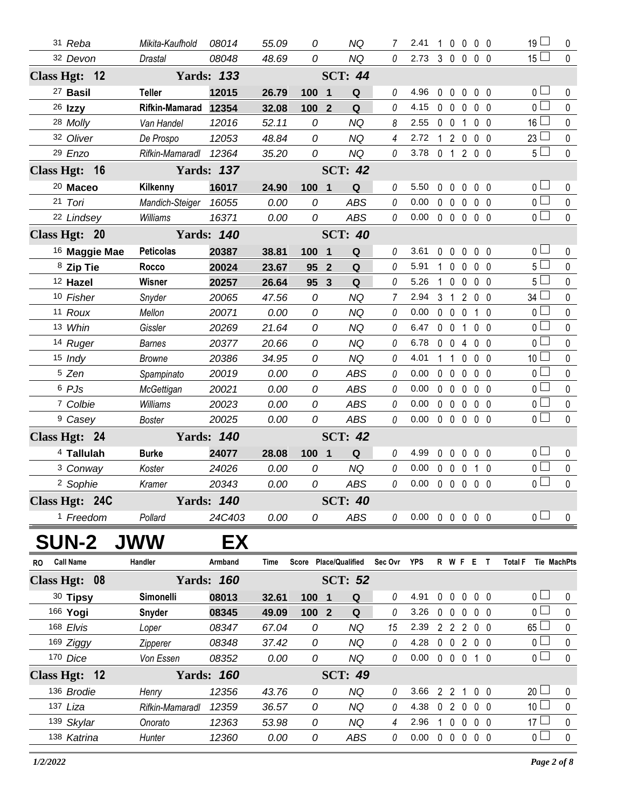|                | 31 Reba                   |                          | Mikita-Kaufhold      | 08014             | 55.09         | 0                     |                         | <b>NQ</b>      | 7              | 2.41                       | 1            | $\mathbf 0$       | $\mathbf 0$    | 0 <sub>0</sub> |              | 19 l                                        | 0           |
|----------------|---------------------------|--------------------------|----------------------|-------------------|---------------|-----------------------|-------------------------|----------------|----------------|----------------------------|--------------|-------------------|----------------|----------------|--------------|---------------------------------------------|-------------|
|                | 32 Devon                  |                          | <b>Drastal</b>       | 08048             | 48.69         | 0                     |                         | <b>NQ</b>      | 0              | 2.73                       |              |                   | 3 0 0 0 0      |                |              | $\overline{\phantom{a}}$<br>15 <sup>L</sup> | $\mathbf 0$ |
| Class Hgt: 12  |                           |                          |                      | <b>Yards: 133</b> |               |                       |                         | <b>SCT: 44</b> |                |                            |              |                   |                |                |              |                                             |             |
|                | <sup>27</sup> Basil       |                          | <b>Teller</b>        | 12015             | 26.79         | 100                   | $\overline{\mathbf{1}}$ | Q              | 0              | 4.96                       | $\mathbf{0}$ | $\mathbf 0$       | $\mathbf 0$    | $0\quad 0$     |              | 0 <sup>1</sup>                              | 0           |
|                | $26$ Izzy                 |                          | Rifkin-Mamarad 12354 |                   | 32.08         | 100                   | $\overline{2}$          | Q              | 0              | 4.15                       |              | $0\quad 0$        | $\mathbf 0$    | $0\quad 0$     |              | 0 <sup>1</sup>                              | $\pmb{0}$   |
|                | 28 Molly                  |                          | Van Handel           | 12016             | 52.11         | 0                     |                         | <b>NQ</b>      | 8              | 2.55                       |              | $0 \t0 \t1$       |                | $0\quad 0$     |              | 16 <sup>1</sup>                             | $\pmb{0}$   |
|                | 32 Oliver                 |                          | De Prospo            | 12053             | 48.84         | 0                     |                         | <b>NQ</b>      | $\overline{4}$ | 2.72                       |              | $1 2 0$           |                | $0\quad 0$     |              | 23                                          | $\pmb{0}$   |
|                | 29 Enzo                   |                          | Rifkin-Mamaradl      | 12364             | 35.20         | 0                     |                         | NQ             | 0              | 3.78                       |              |                   | 0 1 2 0 0      |                |              | $\overline{\phantom{a}}$<br>5 L             | $\mathbf 0$ |
| Class Hgt: 16  |                           |                          |                      | <b>Yards: 137</b> |               |                       |                         | <b>SCT: 42</b> |                |                            |              |                   |                |                |              |                                             |             |
|                | <sup>20</sup> Maceo       |                          | Kilkenny             | 16017             | 24.90         | 100                   | $\overline{\mathbf{1}}$ | Q              | $\it{0}$       | 5.50                       | $\mathbf{0}$ | $\mathbf{0}$      | $\mathbf 0$    | $0\quad 0$     |              | 0 <sup>1</sup>                              | 0           |
|                | 21 Tori                   |                          | Mandich-Steiger      | 16055             | 0.00          | 0                     |                         | <b>ABS</b>     | 0              | 0.00                       |              | $0\quad 0\quad 0$ |                | 0 <sub>0</sub> |              | i<br>0 l                                    | $\pmb{0}$   |
|                | 22 Lindsey                |                          | Williams             | 16371             | 0.00          | 0                     |                         | ABS            | $\it{0}$       | 0.00                       |              |                   | 00000          |                |              | J.<br>0 l                                   | $\pmb{0}$   |
| Class Hgt: 20  |                           |                          |                      | <b>Yards: 140</b> |               |                       |                         | <b>SCT: 40</b> |                |                            |              |                   |                |                |              |                                             |             |
|                |                           | <sup>16</sup> Maggie Mae | <b>Peticolas</b>     | 20387             | 38.81         | 100                   | $\overline{\mathbf{1}}$ | Q              | 0              | 3.61                       |              | $0\quad 0$        | $\mathbf 0$    | 0 <sub>0</sub> |              | ×<br>0 L                                    | 0           |
|                | 8 Zip Tie                 |                          | Rocco                | 20024             | 23.67         | 95                    | $\overline{2}$          | ${\bf Q}$      | 0              | 5.91                       | 1            | $\mathbf 0$       | $\mathbf 0$    | $0\quad 0$     |              | 5                                           | $\mathbf 0$ |
|                | 12 Hazel                  |                          | Wisner               | 20257             | 26.64         | 95                    | $\overline{3}$          | Q              | 0              | 5.26                       | $\mathbf{1}$ |                   | $0\quad 0$     | $0\quad 0$     |              | 5 <sup>1</sup>                              | $\pmb{0}$   |
|                | 10 Fisher                 |                          | Snyder               | 20065             | 47.56         | 0                     |                         | <b>NQ</b>      | $\overline{7}$ | 2.94                       |              | $3 \quad 1$       | 200            |                |              | 34                                          | 0           |
|                | 11 Roux                   |                          | Mellon               | 20071             | 0.00          | 0                     |                         | <b>NQ</b>      | 0              | 0.00                       |              | $0\quad 0\quad 0$ |                | $1\quad0$      |              | 0 L                                         | $\pmb{0}$   |
|                | 13 Whin                   |                          | Gissler              | 20269             | 21.64         | 0                     |                         | <b>NQ</b>      | 0              | 6.47                       |              | $0\quad 0$        | $\overline{1}$ | 0 <sub>0</sub> |              | 0 <sup>1</sup>                              | 0           |
|                | 14 Ruger                  |                          | <b>Barnes</b>        | 20377             | 20.66         | 0                     |                         | <b>NQ</b>      | 0              | 6.78                       |              |                   | 0 0 4 0 0      |                |              | $\overline{0}$                              | $\pmb{0}$   |
|                | $15$ Indy                 |                          | <b>Browne</b>        | 20386             | 34.95         | 0                     |                         | <b>NQ</b>      | 0              | 4.01                       |              | $1\quad1$         | $\mathbf 0$    | 0 <sub>0</sub> |              | 10 <sup>1</sup>                             | 0           |
|                | <sup>5</sup> Zen          |                          | Spampinato           | 20019             | 0.00          | 0                     |                         | ABS            | 0              | 0.00                       |              | $0\quad 0\quad 0$ |                | 0 <sub>0</sub> |              | 0 <sup>1</sup>                              | $\pmb{0}$   |
|                | 6 PJs                     |                          | McGettigan           | 20021             | 0.00          | 0                     |                         | <b>ABS</b>     | $\it{0}$       | 0.00                       |              | $0\quad 0\quad 0$ |                | $0\quad 0$     |              | 0 l                                         | $\pmb{0}$   |
|                | 7 Colbie                  |                          | Williams             | 20023             | 0.00          | 0                     |                         | <b>ABS</b>     | 0              | 0.00                       |              |                   | 00000          |                |              | 0 <sup>1</sup>                              | $\pmb{0}$   |
|                | <sup>9</sup> Casey        |                          | Boster               | 20025             | 0.00          | 0                     |                         | ABS            | $\it{0}$       | 0.00                       |              |                   | 00000          |                |              | ×<br>0 l                                    | $\pmb{0}$   |
| Class Hgt: 24  |                           |                          |                      | <b>Yards: 140</b> |               |                       |                         | <b>SCT: 42</b> |                |                            |              |                   |                |                |              |                                             |             |
|                | 4 Tallulah                |                          | <b>Burke</b>         | 24077             | 28.08         | 100                   | $\overline{\mathbf{1}}$ | ${\bf Q}$      | $\it{0}$       | 4.99                       |              | $0\quad 0$        | $\mathbf 0$    | $0\quad 0$     |              | 0 <sub>0</sub>                              | 0           |
|                | <sup>3</sup> Conway       |                          | Koster               | 24026             | 0.00          | 0                     |                         | <b>NQ</b>      | $\it{0}$       | 0.00                       |              | $0\quad 0$        | $\mathbf 0$    | $1\quad0$      |              | 0 l                                         | 0           |
|                | 2 Sophie                  |                          | Kramer               | 20343             | 0.00          | 0                     |                         | ABS            | 0              | 0.00                       |              |                   | 00000          |                |              | i<br>o L                                    | $\pmb{0}$   |
| Class Hgt: 24C |                           |                          |                      | <b>Yards: 140</b> |               |                       |                         | <b>SCT: 40</b> |                |                            |              |                   |                |                |              |                                             |             |
|                | <sup>1</sup> Freedom      |                          | Pollard              | 24C403            | 0.00          | 0                     |                         | ABS            | 0              | $0.00 \t0 \t0 \t0 \t0 \t0$ |              |                   |                |                |              | 0 <sub>0</sub>                              | 0           |
|                | <b>SUN-2</b>              |                          | <b>JWW</b>           | EX                |               |                       |                         |                |                |                            |              |                   |                |                |              |                                             |             |
|                | <b>Call Name</b>          |                          | Handler              | Armband           | <b>Time</b>   | Score Place/Qualified |                         |                | Sec Ovr        | <b>YPS</b>                 |              |                   | R W F E        |                | $\mathbf{T}$ | <b>Total F</b><br><b>Tie MachPts</b>        |             |
| <b>RO</b>      |                           |                          |                      |                   |               |                       |                         |                |                |                            |              |                   |                |                |              |                                             |             |
| Class Hgt: 08  |                           |                          |                      | <b>Yards: 160</b> |               |                       |                         | <b>SCT: 52</b> |                |                            |              |                   |                |                |              |                                             |             |
|                | 30 Tipsy                  |                          | Simonelli            | 08013             | 32.61         | 100 1                 |                         | Q              | 0              | 4.91                       |              |                   | 00000          |                |              | 0 l                                         | 0           |
|                | 166 Yogi                  |                          | Snyder               | 08345             | 49.09         | 100 <sub>2</sub>      |                         | Q              | 0              | 3.26                       |              |                   | 00000          |                |              | 0 l                                         | 0           |
|                | 168 Elvis                 |                          | Loper                | 08347             | 67.04         | 0                     |                         | <b>NQ</b>      | 15             | 2.39                       |              |                   | 2 2 2 0 0      |                |              | 65<br>$\overline{0}$                        | 0           |
|                | 169 Ziggy                 |                          | Zipperer             | 08348             | 37.42         | 0                     |                         | <b>NQ</b>      | 0              | 4.28                       |              |                   | 0 0 2 0 0      |                |              | $\overline{0}$                              | $\pmb{0}$   |
|                | 170 Dice                  |                          | Von Essen            | 08352             | 0.00          | 0                     |                         | NQ             | 0              | 0.00                       |              |                   | 0 0 0 1 0      |                |              |                                             | 0           |
| Class Hgt: 12  |                           |                          |                      | <b>Yards: 160</b> |               |                       |                         | <b>SCT: 49</b> |                |                            |              |                   |                |                |              |                                             |             |
|                | 136 Brodie                |                          | Henry                | 12356             | 43.76         | 0                     |                         | <b>NQ</b>      | 0              | 3.66                       |              |                   | 2 2 1 0 0      |                |              | $20$ $\Box$                                 | 0           |
|                | 137 Liza                  |                          | Rifkin-Mamaradl      | 12359             | 36.57         | 0                     |                         | <b>NQ</b>      | 0              | 4.38                       |              | 020               |                | $0\quad 0$     |              | 10 <sup>L</sup>                             | 0           |
|                |                           |                          | Onorato              | 12363             |               | 0                     |                         | NQ             | 4              | 2.96                       |              |                   | 1 0 0 0 0      |                |              | 17 <sup>°</sup>                             | 0           |
|                | 139 Skylar<br>138 Katrina |                          | Hunter               | 12360             | 53.98<br>0.00 | 0                     |                         | <b>ABS</b>     | 0              | 0.00                       |              |                   | 00000          |                |              | $\overline{0}$                              | 0           |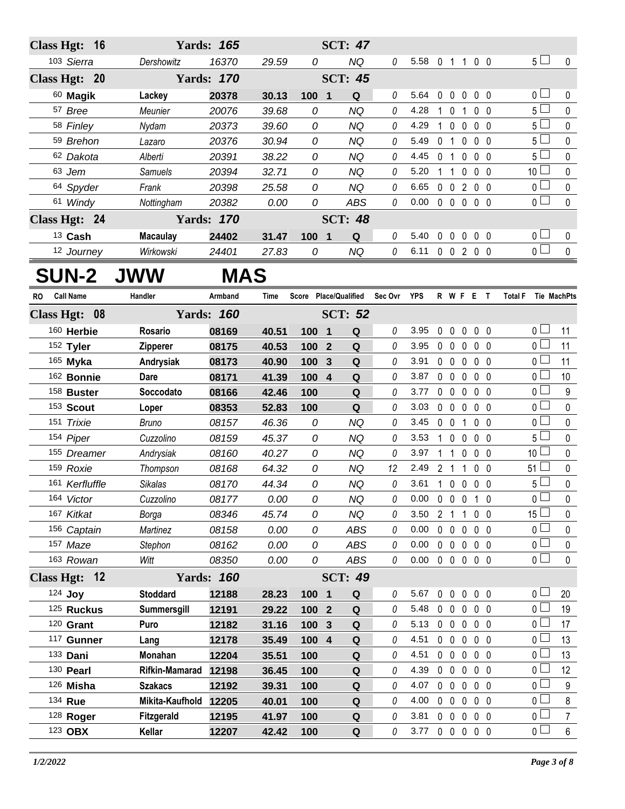| Class Hgt: 16          |                 | <b>Yards: 165</b> |       |       | <b>SCT: 47</b>        |          |                |                |                                 |                |                |                 |                    |
|------------------------|-----------------|-------------------|-------|-------|-----------------------|----------|----------------|----------------|---------------------------------|----------------|----------------|-----------------|--------------------|
| 103 Sierra             | Dershowitz      | 16370             | 29.59 | 0     | <b>NQ</b>             | 0        | 5.58 0 1 1 0 0 |                |                                 |                |                | 5 <sub>1</sub>  | 0                  |
| Class Hgt: 20          |                 | <b>Yards: 170</b> |       |       | <b>SCT: 45</b>        |          |                |                |                                 |                |                |                 |                    |
| 60 Magik               | Lackey          | 20378             | 30.13 | 100 1 | Q                     | 0        | 5.64           |                | 00000                           |                |                | 0 <sub>1</sub>  | 0                  |
| 57 Bree                | Meunier         | 20076             | 39.68 | 0     | <b>NQ</b>             | 0        | 4.28           | $1\quad0$      |                                 | $\overline{1}$ | $0\quad 0$     | 5 <sup>1</sup>  | $\pmb{0}$          |
| 58 Finley              | Nydam           | 20373             | 39.60 | 0     | <b>NQ</b>             | 0        | 4.29           | 1              | $\mathbf{0}$                    | $\mathbf 0$    | $0\quad 0$     | 5 <sup>1</sup>  | 0                  |
| 59 Brehon              | Lazaro          | 20376             | 30.94 | 0     | <b>NQ</b>             | 0        | 5.49           | 0 <sub>1</sub> |                                 | 0              | 0 <sub>0</sub> | 5 <sup>1</sup>  | 0                  |
| 62 Dakota              | Alberti         | 20391             | 38.22 | 0     | NQ                    | 0        | 4.45           | $\mathbf 0$    | $\overline{1}$                  | 0              | $0\quad 0$     | 5 <sup>1</sup>  | 0                  |
| 63 Jem                 | <b>Samuels</b>  | 20394             | 32.71 | 0     | <b>NQ</b>             | 0        | 5.20           | 1              | $\overline{1}$                  | 0              | $0\quad 0$     | 10 <sup>L</sup> | 0                  |
| 64 Spyder              | Frank           | 20398             | 25.58 | 0     | <b>NQ</b>             | 0        | 6.65           |                | $0\quad 0$                      |                | 200            | 0 l             | 0                  |
| 61 Windy               | Nottingham      | 20382             | 0.00  | 0     | <b>ABS</b>            | 0        | 0.00           |                | $0\quad 0\quad 0\quad 0\quad 0$ |                |                | 0 L             | $\mathbf{0}$       |
| Class Hgt: 24          |                 | <b>Yards: 170</b> |       |       | <b>SCT: 48</b>        |          |                |                |                                 |                |                |                 |                    |
| 13 Cash                | <b>Macaulay</b> | 24402             | 31.47 | 100 1 | Q                     | $\it{0}$ | 5.40           |                | 00000                           |                |                | 0 <sub>1</sub>  | 0                  |
| 12 Journey             | Wirkowski       | 24401             | 27.83 | 0     | NQ                    | $\theta$ | 6.11 0 0 2 0 0 |                |                                 |                |                | 0 <sup>2</sup>  | $\mathbf 0$        |
| <b>SUN-2 JWW</b>       |                 | <b>MAS</b>        |       |       |                       |          |                |                |                                 |                |                |                 |                    |
| <b>Call Name</b><br>RO | Handler         | Armband           | Time  |       | Score Place/Qualified | Sec Ovr  | <b>YPS</b>     |                | R W F E T                       |                |                | <b>Total F</b>  | <b>Tie MachPts</b> |
| Class Hgt: 08          |                 | <b>Yards: 160</b> |       |       | <b>SCT: 52</b>        |          |                |                |                                 |                |                |                 |                    |
| 160 Herbie             | Rosario         | 08169             | 40.51 | 100 1 | Q                     | 0        | 3.95           | 0              | $\mathbf 0$                     | $\mathbf 0$    | $0\quad 0$     | 0 <sup>1</sup>  | 11                 |
| 152 Tyler              | <b>Zipperer</b> | 08175             | 40.53 | 100   | $\mathbf{2}$<br>Q     | 0        | 3.95           | 0 <sub>0</sub> |                                 | $\mathbf 0$    | 0 <sub>0</sub> | 0 <sub>0</sub>  | 11                 |
| 165 Myka               | Andrysiak       | 08173             | 40.90 | 100   | Q<br>$\mathbf{3}$     | 0        | 3.91           | $0\quad 0$     |                                 | $\mathbf 0$    | $0\quad 0$     | 0 <sub>0</sub>  | 11                 |
| 162 Bonnie             | <b>Dare</b>     | 08171             | 41.39 | 100   | $\overline{4}$<br>Q   | 0        | 3.87           | $0\quad 0$     |                                 | $\mathbf{0}$   | $0\quad 0$     | 0 <sub>1</sub>  | 10                 |
| 158 Buster             | Soccodato       | 08166             | 42.46 | 100   | Q                     | 0        | 3.77           | $0\quad 0$     |                                 | $\mathbf 0$    | $0\quad 0$     | 0 <sup>L</sup>  | 9                  |
| 153 Scout              | Loper           | 08353             | 52.83 | 100   | Q                     | 0        | 3.03           | $0\quad 0$     |                                 | $\mathbf 0$    | $0\quad 0$     | 0 <sub>0</sub>  | 0                  |
| 151 Trixie             | <b>Bruno</b>    | 08157             | 46.36 | 0     | <b>NQ</b>             | 0        | 3.45           | 0 <sub>0</sub> |                                 | $\mathbf{1}$   | $0\quad 0$     | 0 l             | 0                  |
| 154 Piper              | Cuzzolino       | 08159             | 45.37 | 0     | NQ                    | 0        | 3.53           | 1              | $\mathbf{0}$                    | $\mathbf{0}$   | $0\quad 0$     | 5 l             | 0                  |
| 155 Dreamer            | Andrysiak       | 08160             | 40.27 | 0     | <b>NQ</b>             | 0        | 3.97           |                | $\overline{1}$                  | 0              | $0\quad 0$     | 10 <sup>1</sup> | 0                  |
| 159 Roxie              | Thompson        | 08168             | 64.32 | 0     | <b>NQ</b>             | 12       | 2.49           | 2 <sub>1</sub> |                                 | $\mathbf{1}$   | 0 <sub>0</sub> | 51 <sup>1</sup> | 0                  |
| 161 Kerfluffle         | <b>Sikalas</b>  | 08170             | 44.34 | 0     | <b>NQ</b>             | $\theta$ | 3.61           |                | 1 0 0                           |                | $0\quad 0$     | 5 l             | $\mathbf 0$        |
| 164 Victor             | Cuzzolino       | 08177             | 0.00  | 0     | ΝQ                    | 0        | 0.00           |                | 00010                           |                |                | $\overline{0}$  | 0                  |
| 167 Kitkat             | Borga           | 08346             | 45.74 | 0     | NQ                    | 0        | 3.50           | 2 <sub>1</sub> |                                 | $\mathbf{1}$   | $0\quad 0$     | 15 <sup>1</sup> | 0                  |
| 156 Captain            | Martinez        | 08158             | 0.00  | 0     | ABS                   | 0        | 0.00           | $0\quad 0$     |                                 | $\mathbf 0$    | $0\quad 0$     | $0-$            | 0                  |
| 157 Maze               | Stephon         | 08162             | 0.00  | 0     | ABS                   | 0        | 0.00           |                | $0\quad 0$                      | $\mathbf 0$    | $0\quad 0$     | 0 l             | 0                  |
| 163 Rowan              | Witt            | 08350             | 0.00  | 0     | ABS                   | 0        | 0.00           |                | $0\quad 0$                      | $\mathbf 0$    | $0\quad 0$     | 0 <sub>0</sub>  | 0                  |
| Class Hgt: 12          |                 | <b>Yards: 160</b> |       |       | <b>SCT: 49</b>        |          |                |                |                                 |                |                |                 |                    |
| 124 Joy                | <b>Stoddard</b> | 12188             | 28.23 | 100 1 | ${\bf Q}$             | 0        | 5.67           | $0\quad 0$     |                                 | $\mathbf 0$    | $0\quad 0$     | 0 I             | 20                 |
| 125 Ruckus             | Summersgill     | 12191             | 29.22 | 100 2 | ${\bf Q}$             | 0        | 5.48           | $0\quad 0$     |                                 | $\mathbf 0$    | $0\quad 0$     | 0 <sub>0</sub>  | 19                 |
| $120$ Grant            | Puro            | 12182             | 31.16 | 100   | Q<br>$\mathbf{3}$     | 0        | 5.13           |                | $0\quad 0$                      | $\mathbf 0$    | $0\quad 0$     | 0 l             | 17                 |
| 117 Gunner             | Lang            | 12178             | 35.49 | 100 4 | Q                     | 0        | 4.51           | $0\quad 0$     |                                 | $\mathbf 0$    | $0\quad 0$     | 0 L             | 13                 |
| 133 Dani               | Monahan         | 12204             | 35.51 | 100   | Q                     | 0        | 4.51           | $0\quad 0$     |                                 | $\mathbf 0$    | $0\quad 0$     | 0 l             | 13                 |
| 130 Pearl              | Rifkin-Mamarad  | 12198             | 36.45 | 100   | Q                     | 0        | 4.39           | $0\quad 0$     |                                 | $\mathbf 0$    | $0\quad 0$     | 0 l             | 12                 |
| 126 Misha              | <b>Szakacs</b>  | 12192             | 39.31 | 100   | ${\bf Q}$             | 0        | 4.07           |                | $0\quad 0$                      | $\mathbf 0$    | $0\quad 0$     | 0 l             | 9                  |
| 134 Rue                | Mikita-Kaufhold | 12205             | 40.01 | 100   | Q                     | 0        | 4.00           | $0\quad 0$     |                                 | $\mathbf 0$    | $0\quad 0$     | 0 l             | 8                  |
| 128 Roger              | Fitzgerald      | 12195             | 41.97 | 100   | Q                     | 0        | 3.81           | $0\quad 0$     |                                 | $\mathbf 0$    | $0\quad 0$     | 0 l             | $\overline{7}$     |
| 123 OBX                | Kellar          | 12207             | 42.42 | 100   | $\mathbf Q$           | 0        | 3.77           |                | 00000                           |                |                | 0 <sub>1</sub>  | $\boldsymbol{6}$   |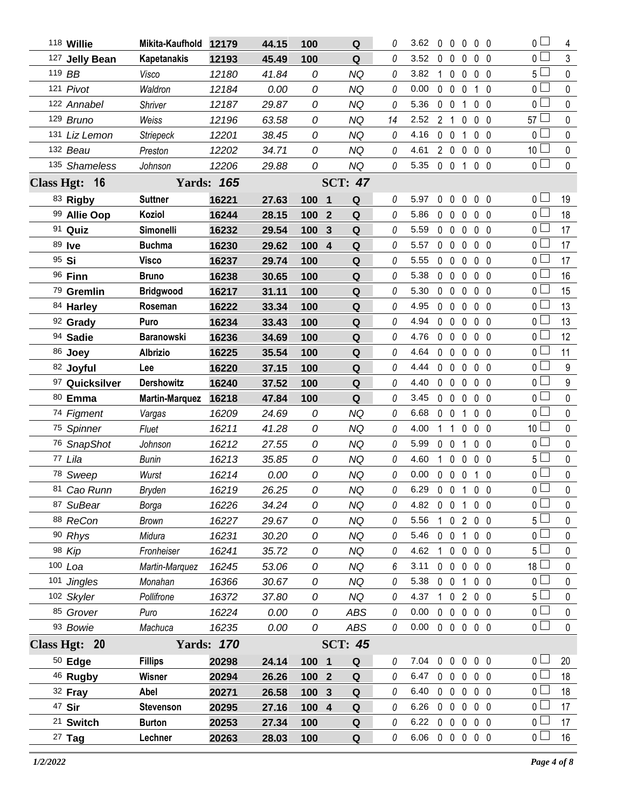| 118 Willie            | Mikita-Kaufhold 12179    |                   | 44.15 | 100   | Q                           | 0             | 3.62                       | $0\quad 0$     |                               | $0\,0\,0$    |                | $\overline{0}$                   | 4              |
|-----------------------|--------------------------|-------------------|-------|-------|-----------------------------|---------------|----------------------------|----------------|-------------------------------|--------------|----------------|----------------------------------|----------------|
| 127 Jelly Bean        | <b>Kapetanakis</b>       | 12193             | 45.49 | 100   | Q                           | 0             | 3.52                       | $\mathbf 0$    | $\mathbf 0$<br>0              |              | 0 <sub>0</sub> | $_0$ $\Box$                      | $\mathfrak{Z}$ |
| 119 BB                | Visco                    | 12180             | 41.84 | 0     | <b>NQ</b>                   | 0             | 3.82                       | $1\quad0$      | $\mathbf 0$                   |              | 0 <sub>0</sub> | 5 l                              | $\pmb{0}$      |
| 121 Pivot             | Waldron                  | 12184             | 0.00  | 0     | <b>NQ</b>                   | 0             | 0.00                       | $0\quad 0$     | 0                             | $\mathbf{1}$ | $\mathbf{0}$   | 0 <sub>1</sub>                   | $\mathbf 0$    |
| 122 Annabel           | Shriver                  | 12187             | 29.87 | 0     | <b>NQ</b>                   | 0             | 5.36                       | $0\quad 0$     | 1                             |              | 0 <sub>0</sub> | 0 L                              | $\mathbf 0$    |
| 129 Bruno             | Weiss                    | 12196             | 63.58 | 0     | <b>NQ</b>                   | 14            | 2.52                       | 2 <sub>1</sub> | $\mathbf 0$                   |              | 0 <sub>0</sub> | $57 \Box$                        | $\mathbf 0$    |
| 131 Liz Lemon         | <b>Striepeck</b>         | 12201             | 38.45 | 0     | <b>NQ</b>                   | 0             | 4.16                       | $0\quad 0$     | 1                             |              | 0 <sub>0</sub> | 0 <sub>1</sub>                   | $\mathbf 0$    |
| 132 Beau              | Preston                  | 12202             | 34.71 | 0     | <b>NQ</b>                   | 0             | 4.61                       |                | 200                           |              | 0 <sub>0</sub> | 10 <sup>1</sup>                  | $\pmb{0}$      |
| 135 Shameless         | Johnson                  | 12206             | 29.88 | 0     | <b>NQ</b>                   | 0             | 5.35                       |                | 0 0 1 0 0                     |              |                | $\overline{0}$                   | $\pmb{0}$      |
| Class Hgt: 16         |                          | <b>Yards: 165</b> |       |       | <b>SCT: 47</b>              |               |                            |                |                               |              |                |                                  |                |
| 83 Rigby              | <b>Suttner</b>           | 16221             | 27.63 | 100 1 | Q                           | 0             | 5.97                       | 0              | $\overline{0}$<br>$\mathbf 0$ |              | 0 <sub>0</sub> | 0 <sup>1</sup>                   | 19             |
| 99 Allie Oop          | Koziol                   | 16244             | 28.15 | 100 2 | Q                           | 0             | 5.86                       | $0\quad 0$     | $\mathbf 0$                   |              | 0 <sub>0</sub> | $0-$                             | 18             |
| 91 Quiz               | Simonelli                | 16232             | 29.54 | 100   | $\mathbf{3}$<br>Q           | 0             | 5.59                       | $0\quad 0$     | $\mathbf 0$                   |              | $0\quad 0$     | 0 <sub>0</sub>                   | 17             |
| 89 Ive                | <b>Buchma</b>            | 16230             | 29.62 | 100   | ${\bf Q}$<br>$\overline{4}$ | 0             | 5.57                       | $0\quad 0$     | 0                             |              | $0\quad 0$     | 0 l                              | 17             |
| 95 Si                 | <b>Visco</b>             | 16237             | 29.74 | 100   | Q                           | 0             | 5.55                       | $0\quad 0$     | $\mathbf 0$                   |              | 0 <sub>0</sub> | 0 <sub>0</sub>                   | 17             |
| 96 Finn               | <b>Bruno</b>             | 16238             | 30.65 | 100   | Q                           | 0             | 5.38                       | $0\quad 0$     | 0                             |              | 0 <sub>0</sub> | 0 <sub>0</sub>                   | 16             |
| 79 Gremlin            | <b>Bridgwood</b>         | 16217             | 31.11 | 100   | Q                           | 0             | 5.30                       | $0\quad 0$     | $\mathbf 0$                   |              | 0 <sub>0</sub> | 0 <sup>2</sup>                   | 15             |
| 84 Harley             | Roseman                  | 16222             | 33.34 | 100   | Q                           | 0             | 4.95                       | $0\quad 0$     | 0                             |              | $0\quad 0$     | 0 <sub>0</sub>                   | 13             |
| 92 Grady              | Puro                     | 16234             | 33.43 | 100   | Q                           | 0             | 4.94                       | $0\quad 0$     | $\mathbf{0}$                  |              | 0 <sub>0</sub> | 0 <sup>2</sup>                   | 13             |
| 94 Sadie              | <b>Baranowski</b>        | 16236             | 34.69 | 100   | Q                           | 0             | 4.76                       | $0\quad 0$     | 0                             |              | 0 <sub>0</sub> | 0 L                              | 12             |
| 86 Joey               | <b>Albrizio</b>          | 16225             | 35.54 | 100   | ${\bf Q}$                   | 0             | 4.64                       | $0\quad 0$     | $\mathbf 0$                   |              | $0\quad 0$     | 0 <sup>1</sup>                   | 11             |
| 82 Joyful             | Lee                      | 16220             | 37.15 | 100   | Q                           | 0             | 4.44                       | $0\quad 0$     | $\mathbf 0$                   |              | 0 <sub>0</sub> | $\overline{0}$                   | 9              |
| 97 Quicksilver        | <b>Dershowitz</b>        | 16240             | 37.52 | 100   | Q                           | 0             | 4.40                       | $0\quad 0$     | $\mathbf 0$                   |              | 0 <sub>0</sub> | 0 <sub>0</sub>                   | $9\,$          |
| 80 Emma               | <b>Martin-Marquez</b>    | 16218             | 47.84 | 100   | Q                           | 0             | 3.45                       | $0\quad 0$     | $\mathbf 0$                   |              | 0 <sub>0</sub> | 0 <sub>1</sub>                   | $\pmb{0}$      |
| 74 Figment            | Vargas                   | 16209             | 24.69 | 0     | <b>NQ</b>                   | 0             | 6.68                       | $0\quad 0$     | 1                             |              | 0 <sub>0</sub> | 0 <sup>1</sup>                   | $\pmb{0}$      |
| 75 Spinner            | Fluet                    | 16211             | 41.28 | 0     | <b>NQ</b>                   | 0             | 4.00                       | $1\quad1$      | $\mathbf 0$                   |              | 0 <sub>0</sub> | 10 <sup>1</sup>                  | $\pmb{0}$      |
|                       |                          |                   |       |       |                             |               |                            |                |                               |              |                |                                  |                |
| 76 SnapShot           | Johnson                  | 16212             | 27.55 | 0     | <b>NQ</b>                   | 0             | 5.99                       | $0\quad 0$     | 1                             |              | 0 <sub>0</sub> | 0 <sub>0</sub>                   | $\pmb{0}$      |
| 77 Lila               | Bunin                    | 16213             | 35.85 | 0     | NQ                          | 0             | 4.60                       | $1\quad0$      | $\mathbf 0$                   |              | 0 <sub>0</sub> | 5 l                              | $\mathbf 0$    |
| 78 Sweep              | Wurst                    | 16214             | 0.00  | 0     | <b>NQ</b>                   | 0             | 0.00                       | $0\quad 0$     | $\mathbf 0$                   |              | 1 0            | 0 <sub>0</sub>                   | $\pmb{0}$      |
| 81 Cao Runn           | Bryden                   | 16219             | 26.25 | 0     | NQ                          | 0             | 6.29                       |                | 0 0 1 0 0                     |              |                | 0                                | 0              |
| 87 SuBear             | Borga                    | 16226             | 34.24 | 0     | <b>NQ</b>                   | 0             | 4.82 0 0 1 0 0             |                |                               |              |                | $\overline{0}$                   | $\mathbf{0}$   |
| 88 ReCon              | <b>Brown</b>             | 16227             | 29.67 | 0     | NQ                          | 0             | 5.56                       |                | 1 0 2 0 0                     |              |                | 5 l                              | 0              |
| 90 Rhys               | Midura                   | 16231             | 30.20 | 0     | <b>NQ</b>                   | 0             | 5.46                       |                | 0 0 1 0 0                     |              |                | 0 <sub>0</sub>                   | 0              |
| 98 Kip                | Fronheiser               | 16241             | 35.72 | 0     | <b>NQ</b>                   | 0             | 4.62                       |                | 10000                         |              |                | 5 L                              | 0              |
| $100$ Loa             | Martin-Marquez           | 16245             | 53.06 | 0     | <b>NQ</b>                   | 6             | 3.11                       |                | 0 0 0 0 0                     |              |                | $18 \Box$                        | $\mathbf 0$    |
| 101 Jingles           | Monahan                  | 16366             | 30.67 | 0     | <b>NQ</b>                   | 0             | 5.38                       |                | 0 0 1 0 0                     |              |                | 0 <sub>1</sub>                   | 0              |
| 102 Skyler            | Pollifrone               | 16372             | 37.80 | 0     | <b>NQ</b>                   | 0             | 4.37 1 0 2 0 0             |                |                               |              |                | 5 <sub>1</sub>                   | $\mathbf 0$    |
| 85 Grover             | Puro                     | 16224             | 0.00  | 0     | ABS                         | 0             | 0.00                       |                | 0 0 0 0 0                     |              |                | 0 <sub>l</sub>                   | 0              |
| 93 Bowie              | Machuca                  | 16235             | 0.00  | 0     | ABS                         | 0             | $0.00 \t0 \t0 \t0 \t0 \t0$ |                |                               |              |                | 0 <sub>0</sub>                   | $\mathbf 0$    |
| Class Hgt: 20         |                          | <b>Yards: 170</b> |       |       | <b>SCT: 45</b>              |               |                            |                |                               |              |                |                                  |                |
| $50$ Edge             | <b>Fillips</b>           | 20298             | 24.14 | 100 1 | Q                           | 0             | 7.04                       |                | 0 0 0 0 0                     |              |                | 0 <sub>1</sub>                   | 20             |
| 46 Rugby              | Wisner                   | 20294             | 26.26 | 100 2 | Q                           | 0             | 6.47                       |                | 00000                         |              |                | 0 <sub>0</sub>                   | 18             |
| 32 Fray               | Abel                     | 20271             | 26.58 | 100 3 | Q                           | 0             | 6.40                       |                | 00000                         |              |                | 0 <sub>0</sub>                   | 18             |
| 47 Sir                | <b>Stevenson</b>         | 20295             | 27.16 | 100 4 | ${\bf Q}$                   | 0             | 6.26 0 0 0 0 0             |                |                               |              |                | 0 <sub>0</sub>                   | 17             |
| 21 Switch<br>$27$ Tag | <b>Burton</b><br>Lechner | 20253<br>20263    | 27.34 | 100   | Q<br>Q                      | 0<br>$\theta$ | 6.22<br>6.06 0 0 0 0 0     |                | $0\;0\;0\;0\;0$               |              |                | 0 <sub>1</sub><br>0 <sub>0</sub> | 17<br>16       |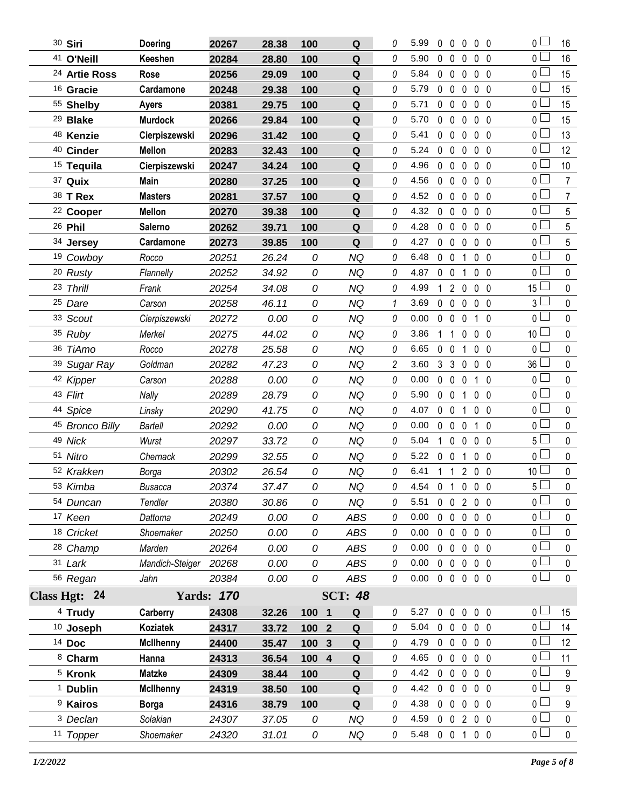| 30 Siri                  | <b>Doering</b>   | 20267             | 28.38 | 100   | $\mathbf Q$        | 0              | 5.99 | 0              | $\overline{0}$    | $\mathbf{0}$      | 0 <sub>0</sub> | $\overline{0}$  | 16              |
|--------------------------|------------------|-------------------|-------|-------|--------------------|----------------|------|----------------|-------------------|-------------------|----------------|-----------------|-----------------|
| 41 O'Neill               | Keeshen          | 20284             | 28.80 | 100   | Q                  | 0              | 5.90 | $\mathbf 0$    | $\mathbf 0$       | 0                 | 0 <sub>0</sub> | 0 <sub>0</sub>  | 16              |
| <sup>24</sup> Artie Ross | Rose             | 20256             | 29.09 | 100   | Q                  | 0              | 5.84 | $\mathbf 0$    | $\mathbf 0$       | $\mathbf 0$       | 0 <sub>0</sub> | 0 <sub>0</sub>  | 15              |
| <sup>16</sup> Gracie     | Cardamone        | 20248             | 29.38 | 100   | Q                  | 0              | 5.79 | $\mathbf{0}$   | $\mathbf 0$       | $\mathbf 0$       | 0 <sub>0</sub> | 0 <sub>1</sub>  | 15              |
| 55 Shelby                | <b>Ayers</b>     | 20381             | 29.75 | 100   | Q                  | 0              | 5.71 | 0              | $\mathbf 0$       | $\mathbf{0}$      | 0 <sub>0</sub> | 0 <sub>1</sub>  | 15              |
| <sup>29</sup> Blake      | <b>Murdock</b>   | 20266             | 29.84 | 100   | Q                  | 0              | 5.70 | $\mathbf 0$    | $\mathbf 0$       | 0                 | 0 <sub>0</sub> | 0 <sub>1</sub>  | 15              |
| 48 Kenzie                | Cierpiszewski    | 20296             | 31.42 | 100   | $\pmb{\mathsf{Q}}$ | 0              | 5.41 | 0              | $\mathbf 0$       | $\mathbf{0}$      | 0 <sub>0</sub> | 0 l             | 13              |
| <sup>40</sup> Cinder     | <b>Mellon</b>    | 20283             | 32.43 | 100   | Q                  | 0              | 5.24 | $\mathbf{0}$   | $\mathbf 0$       | $\mathbf 0$       | 0 <sub>0</sub> | 0 <sub>0</sub>  | 12              |
| <sup>15</sup> Tequila    | Cierpiszewski    | 20247             | 34.24 | 100   | Q                  | 0              | 4.96 | $\mathbf 0$    | $\mathbf 0$       | 0                 | 0 <sub>0</sub> | 0 l             | 10              |
| 37 Quix                  | Main             | 20280             | 37.25 | 100   | Q                  | 0              | 4.56 | 0              | $\mathbf 0$       | 0                 | 0 <sub>0</sub> | 0 <sub>0</sub>  | $\overline{7}$  |
| 38 T Rex                 | <b>Masters</b>   | 20281             | 37.57 | 100   | Q                  | 0              | 4.52 | $\mathbf 0$    | $\mathbf 0$       | 0                 | 0 <sub>0</sub> | 0 <sub>0</sub>  | $\overline{7}$  |
| <sup>22</sup> Cooper     | <b>Mellon</b>    | 20270             | 39.38 | 100   | Q                  | 0              | 4.32 | $\mathbf 0$    | $\mathbf 0$       | $\mathbf{0}$      | 0 <sub>0</sub> | $\overline{0}$  | $5\overline{)}$ |
| 26 Phil                  | Salerno          | 20262             | 39.71 | 100   | Q                  | 0              | 4.28 | $\mathbf 0$    | $\mathbf 0$       | 0                 | 0 <sub>0</sub> | 0 <sub>0</sub>  | 5               |
| 34 Jersey                | Cardamone        | 20273             | 39.85 | 100   | Q                  | 0              | 4.27 | $\mathbf 0$    | $\mathbf 0$       | 0                 | $0\quad 0$     | $\overline{0}$  | 5               |
| 19 Cowboy                | Rocco            | 20251             | 26.24 | 0     | <b>NQ</b>          | 0              | 6.48 |                | $0\quad 0$        | 1                 | 0 <sub>0</sub> | $0-$            | $\pmb{0}$       |
| 20 Rusty                 | Flannelly        | 20252             | 34.92 | 0     | <b>NQ</b>          | 0              | 4.87 | $0\quad 0$     |                   | 1                 | 0 <sub>0</sub> | 0 <sup>1</sup>  | $\mathbf 0$     |
| 23 Thrill                | Frank            | 20254             | 34.08 | 0     | NQ                 | 0              | 4.99 | $\mathbf{1}$   | $\overline{2}$    | 0                 | 0 <sub>0</sub> | 15 <sup>L</sup> | $\pmb{0}$       |
| 25 Dare                  | Carson           | 20258             | 46.11 | 0     | <b>NQ</b>          | 1              | 3.69 | $\mathbf 0$    | $\mathbf 0$       | $\mathbf 0$       | $0\quad 0$     | 3 <sub>1</sub>  | $\pmb{0}$       |
| 33 Scout                 | Cierpiszewski    | 20272             | 0.00  | 0     | NQ                 | 0              | 0.00 |                | $0\quad 0$        | $\mathbf 0$       | $1\quad0$      | 0 L             | $\pmb{0}$       |
| 35 Ruby                  | Merkel           | 20275             | 44.02 | 0     | <b>NQ</b>          | 0              | 3.86 | 1              | $\mathbf{1}$      | 0                 | 0 <sub>0</sub> | 10 <sup>1</sup> | $\mathbf 0$     |
| 36 TiAmo                 | Rocco            | 20278             | 25.58 | 0     | <b>NQ</b>          | 0              | 6.65 | 0 <sub>0</sub> |                   | 1                 | 0 <sub>0</sub> | 0 <sub>0</sub>  | $\mathbf 0$     |
| 39 Sugar Ray             | Goldman          | 20282             | 47.23 | 0     | <b>NQ</b>          | $\overline{c}$ | 3.60 |                | 3 <sub>3</sub>    | 0                 | 0 <sub>0</sub> | $36 \Box$       | $\pmb{0}$       |
| 42 Kipper                | Carson           | 20288             | 0.00  | 0     | <b>NQ</b>          | 0              | 0.00 |                | $0\quad 0$        | $\mathbf 0$       | $1\quad0$      | $0-$            | $\pmb{0}$       |
| 43 Flirt                 | Nally            | 20289             | 28.79 | 0     | <b>NQ</b>          | 0              | 5.90 | $0\quad 0$     |                   | 1                 | 0 <sub>0</sub> | 0 <sub>1</sub>  | $\pmb{0}$       |
| 44 Spice                 | Linsky           | 20290             | 41.75 | 0     | <b>NQ</b>          | 0              | 4.07 | $0\quad 0$     |                   | 1                 | 0 <sub>0</sub> | 0 <sub>0</sub>  | $\mathbf 0$     |
| 45 Bronco Billy          | Bartell          | 20292             | 0.00  | 0     | <b>NQ</b>          | 0              | 0.00 | $\mathbf 0$    | $\mathbf 0$       | 0                 | $1\quad0$      | $0-$            | $\pmb{0}$       |
| 49 Nick                  | Wurst            | 20297             | 33.72 | 0     | NQ                 | 0              | 5.04 | $\mathbf{1}$   | $\mathbf 0$       | $\mathbf 0$       | 0 <sub>0</sub> | 5               | $\pmb{0}$       |
| 51 Nitro                 | Chernack         | 20299             | 32.55 | 0     | <b>NQ</b>          | 0              | 5.22 | $\mathbf 0$    | $\mathbf 0$       | 1                 | 0 <sub>0</sub> | $0-$            | $\mathbf 0$     |
| 52 Krakken               | Borga            | 20302             | 26.54 | 0     | NQ                 | 0              | 6.41 | 1              | $\mathbf{1}$      | 2                 | $0\quad 0$     | 10              | $\pmb{0}$       |
| 53 Kimba                 | <b>Busacca</b>   | 20374             | 37.47 | 0     | <b>NQ</b>          | 0              | 4.54 | 0 <sub>1</sub> |                   | $0\quad 0\quad 0$ |                | $5\Box$         | 0               |
| 54 Duncan                | Tendler          | 20380             | 30.86 | 0     | <b>NQ</b>          | 0              | 5.51 |                |                   | 0 0 2 0 0         |                | 0 <sub>1</sub>  | 0               |
| 17 Keen                  | Dattoma          | 20249             | 0.00  | 0     | <b>ABS</b>         | 0              | 0.00 |                | $0\quad 0$        | $\mathbf 0$       | $0\quad 0$     | $\overline{0}$  | $\pmb{0}$       |
| 18 Cricket               | Shoemaker        | 20250             | 0.00  | 0     | <b>ABS</b>         | 0              | 0.00 |                | $0\quad 0$        | $\mathbf 0$       | $0\quad 0$     | 0 <sub>0</sub>  | 0               |
| 28 Champ                 | Marden           | 20264             | 0.00  | 0     | <b>ABS</b>         | 0              | 0.00 |                | $0\quad 0$        | $\mathbf 0$       | 0 <sub>0</sub> | 0 <sub>l</sub>  | $\pmb{0}$       |
| 31 Lark                  | Mandich-Steiger  | 20268             | 0.00  | 0     | <b>ABS</b>         | 0              | 0.00 |                | $0\quad 0$        | $\mathbf 0$       | $0\quad 0$     | $0-$            | 0               |
| 56 Regan                 | Jahn             | 20384             | 0.00  | 0     | ABS                | 0              | 0.00 |                |                   | 0 0 0 0 0         |                | 0 <sub>l</sub>  | $\pmb{0}$       |
| Class Hgt: 24            |                  | <b>Yards: 170</b> |       |       | <b>SCT: 48</b>     |                |      |                |                   |                   |                |                 |                 |
| <sup>4</sup> Trudy       | Carberry         | 24308             | 32.26 | 100 1 | Q                  | 0              | 5.27 |                |                   | 00000             |                | 0 <sub>1</sub>  | 15              |
| 10 Joseph                | Koziatek         | 24317             | 33.72 | 100 2 | ${\bf Q}$          | 0              | 5.04 |                |                   | 00000             |                | 0 <sub>1</sub>  | 14              |
| 14 Doc                   | <b>McIlhenny</b> | 24400             | 35.47 | 100   | $\mathbf{3}$<br>Q  | 0              | 4.79 |                | $0\quad 0$        | $\mathbf 0$       | 0 <sub>0</sub> | 0 L             | 12              |
| 8 Charm                  | Hanna            | 24313             | 36.54 | 100 4 | $\mathbf Q$        | 0              | 4.65 |                | $0\quad 0\quad 0$ |                   | 0 <sub>0</sub> | 0 <sub>1</sub>  | 11              |
| <sup>5</sup> Kronk       | <b>Matzke</b>    | 24309             | 38.44 | 100   | Q                  | 0              | 4.42 |                | $0\quad 0$        | $\mathbf 0$       | $0\quad 0$     | 0 <sub>1</sub>  | 9               |
| <sup>1</sup> Dublin      | <b>McIlhenny</b> | 24319             | 38.50 | 100   | Q                  | 0              | 4.42 |                |                   | 00000             |                | $_0\sqcup$      | 9               |
| <sup>9</sup> Kairos      | <b>Borga</b>     | 24316             | 38.79 | 100   | Q                  | 0              | 4.38 |                | $0\quad 0\quad 0$ |                   | $0\quad 0$     | 0 <sup>1</sup>  | 9               |
| <sup>3</sup> Declan      | Solakian         | 24307             | 37.05 | 0     | <b>NQ</b>          | 0              | 4.59 |                |                   | 0 0 2 0 0         |                | $_0\sqcup$      | $\pmb{0}$       |
| 11 Topper                | Shoemaker        | 24320             | 31.01 | 0     | NQ                 | 0              | 5.48 |                |                   | 0 0 1 0 0         |                | 0 <sub>0</sub>  | $\mathsf{O}$    |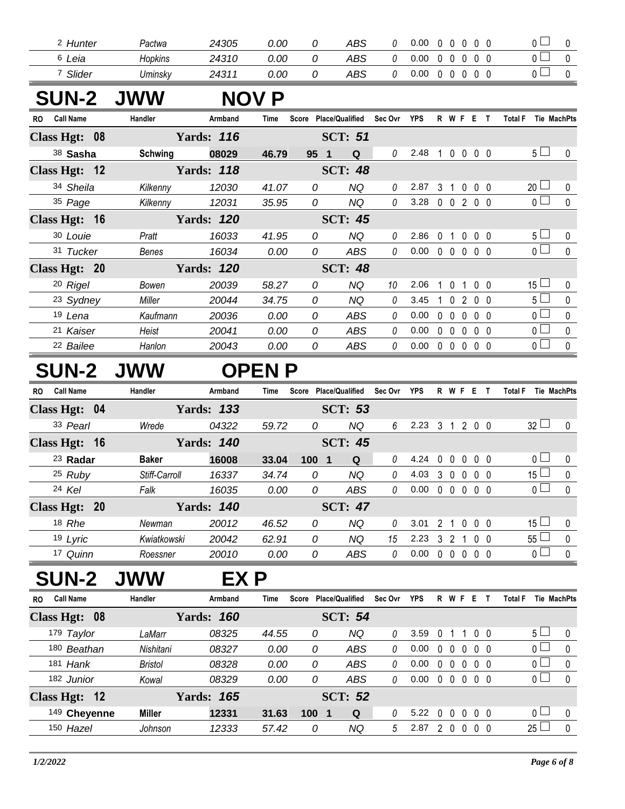| Hunter<br>- | Pactwa  | 24305 | 0.00 | ABS | 0.00 |  |  |  |
|-------------|---------|-------|------|-----|------|--|--|--|
| Leia        | Hopkins | 24310 | 0.00 | ABS | 0.00 |  |  |  |
| Slider      | Uminsky | 24311 | 0.00 | ABS | 0.00 |  |  |  |

## **SUN-2 JWW NOV P**

| <b>Call Name</b><br>RO. | Handler        | Armband           | Time  | Score           | <b>Place/Qualified</b> | Sec Ovr  | <b>YPS</b> |                | R W F        |              | Е                 | <b>Total F</b>                | Tie MachPts  |
|-------------------------|----------------|-------------------|-------|-----------------|------------------------|----------|------------|----------------|--------------|--------------|-------------------|-------------------------------|--------------|
| Class Hgt: 08           |                | <b>Yards: 116</b> |       |                 | <b>SCT: 51</b>         |          |            |                |              |              |                   |                               |              |
| 38 Sasha                | <b>Schwing</b> | 08029             | 46.79 | 95 <sub>1</sub> | Q                      | 0        | 2.48       | 1              |              |              | $0\,0\,0\,0$      | 5 <sub>1</sub>                | $\mathbf{0}$ |
| Class Hgt: 12           |                | <b>Yards: 118</b> |       |                 | <b>SCT: 48</b>         |          |            |                |              |              |                   |                               |              |
| 34 Sheila               | Kilkenny       | 12030             | 41.07 | 0               | ΝQ                     | $\theta$ | 2.87       | 3              |              |              | $0\quad 0\quad 0$ | 20 <sup>1</sup>               | $\mathbf{0}$ |
| 35 Page                 | Kilkenny       | 12031             | 35.95 | 0               | ΝQ                     | 0        | 3.28       | $\mathbf{0}$   | $\mathbf{0}$ |              | 2 0 0             | 0 <sub>0</sub>                | $\Omega$     |
| Class Hgt: 16           |                | <b>Yards: 120</b> |       |                 | <b>SCT: 45</b>         |          |            |                |              |              |                   |                               |              |
| 30 Louie                | Pratt          | 16033             | 41.95 | 0               | ΝQ                     | $\theta$ | 2.86       | 0              |              | <sup>0</sup> | 0 <sub>0</sub>    | 5 <sub>1</sub>                | $\mathbf{0}$ |
| 31 Tucker               | Benes          | 16034             | 0.00  | 0               | ABS                    | 0        | 0.00       | $\overline{0}$ | $\mathbf{0}$ |              | $0\quad 0\quad 0$ | 0 <sub>1</sub>                | $\Omega$     |
| Class Hgt: 20           |                | <b>Yards: 120</b> |       |                 | <b>SCT: 48</b>         |          |            |                |              |              |                   |                               |              |
| 20 Rigel                | Bowen          | 20039             | 58.27 | 0               | ΝQ                     | 10       | 2.06       |                |              |              | 0 <sub>0</sub>    | $15 \Box$                     | $\Omega$     |
| <sup>23</sup> Sydney    | Miller         | 20044             | 34.75 | 0               | ΝQ                     | $\theta$ | 3.45       |                |              |              | 0200              | $5+$                          | $\Omega$     |
| 19 Lena                 | Kaufmann       | 20036             | 0.00  | $\Omega$        | ABS                    | 0        | 0.00       | 0              | $\Omega$     | <sup>0</sup> | 0 O               | $\overline{0}$ $\overline{1}$ | $\Omega$     |
| 21 Kaiser               | Heist          | 20041             | 0.00  | 0               | ABS                    | 0        | 0.00       | 0              | $\mathsf{D}$ | <sup>0</sup> | 0 <sub>0</sub>    | n l                           | $\Omega$     |
| <sup>22</sup> Bailee    | Hanlon         | 20043             | 0.00  | 0               | ABS                    | 0        | 0.00       | $\Omega$       | $\Omega$     | $\Omega$     | 0 <sub>0</sub>    | 0 <sup>L</sup>                | $\Omega$     |

## **SUN-2 JWW OPEN P**

| <b>Call Name</b><br>RO. | Handler       | Armband           | Time  | Score                   | <b>Place/Qualified</b> | Sec Ovr | <b>YPS</b> | R            | W F            |          | Е                 | Tie MachPts<br>Total F |          |
|-------------------------|---------------|-------------------|-------|-------------------------|------------------------|---------|------------|--------------|----------------|----------|-------------------|------------------------|----------|
| Class Hgt: 04           |               | <b>Yards: 133</b> |       |                         | <b>SCT: 53</b>         |         |            |              |                |          |                   |                        |          |
| 33 Pearl                | Wrede         | 04322             | 59.72 | 0                       | NQ                     | 6       | 2.23       | 3            |                |          | 2 0 0             | $32 \Box$              | $\Omega$ |
| Class Hgt: 16           |               | Yards: <i>140</i> |       |                         | <b>SCT: 45</b>         |         |            |              |                |          |                   |                        |          |
| 23 Radar                | <b>Baker</b>  | 16008             | 33.04 | 100 <sub>1</sub><br>- 1 | Q                      | 0       | 4.24       | 0            | $\Omega$       | $\Omega$ | 0 <sub>0</sub>    | $\overline{0}$         | $\Omega$ |
| $25$ Ruby               | Stiff-Carroll | 16337             | 34.74 | 0                       | NQ                     | 0       | 4.03       | 3            | $\Omega$       | $\Omega$ | 0 <sub>0</sub>    | $15 \Box$              | $\Omega$ |
| 24 Kel                  | Falk          | 16035             | 0.00  | 0                       | ABS                    | 0       | 0.00       | $\mathbf{0}$ | $\overline{0}$ |          | $0\quad 0\quad 0$ | $\overline{0}$ $\Box$  | $\Omega$ |
| Class Hgt: 20           |               | <b>Yards: 140</b> |       |                         | <b>SCT: 47</b>         |         |            |              |                |          |                   |                        |          |
| 18 Rhe                  | Newman        | 20012             | 46.52 | 0                       | NQ                     | 0       | 3.01       | 2            |                | $\Omega$ | 00                | 15 $\Box$              | $\Omega$ |
| 19 Lyric                | Kwiatkowski   | 20042             | 62.91 | 0                       | NQ                     | 15      | 2.23       | 3            | $\mathcal{P}$  |          | 0 <sub>0</sub>    | 55L                    | $\Omega$ |
| 17 Quinn                | Roessner      | 20010             | 0.00  | 0                       | ABS                    | 0       | 0.00       | $\mathbf{0}$ | 0              |          | $0\quad 0\quad 0$ | $\overline{0}$ $\Box$  | $\Omega$ |

## **SUN-2 JWW EX P**

| <b>Call Name</b><br>R0 | Handler        | Armband           | Time  | Score | <b>Place/Qualified</b> | Sec Ovr | <b>YPS</b> | R        | W F |          | Е          |                          | Total F |                       | <b>Tie MachPts</b> |
|------------------------|----------------|-------------------|-------|-------|------------------------|---------|------------|----------|-----|----------|------------|--------------------------|---------|-----------------------|--------------------|
| Class Hgt: 08          |                | <b>Yards: 160</b> |       |       | <b>SCT: 54</b>         |         |            |          |     |          |            |                          |         |                       |                    |
| 179 Taylor             | LaMarr         | 08325             | 44.55 | 0     | NQ                     | 0       | 3.59       |          |     |          | $0\quad 0$ |                          |         | $5 \sqcup$            |                    |
| 180 Beathan            | Nishitani      | 08327             | 0.00  | 0     | ABS                    | 0       | 0.00       | 0        |     |          |            | 0 <sub>0</sub>           |         | $\overline{0}$ $\Box$ |                    |
| 181 Hank               | <b>Bristol</b> | 08328             | 0.00  | 0     | ABS                    | 0       | 0.00       | 0        |     |          |            | 00                       |         | $\overline{0}$ $\Box$ |                    |
| 182 Junior             | Kowal          | 08329             | 0.00  | 0     | ABS                    | 0       | 0.00       | $\Omega$ |     | $\Omega$ |            | 0 <sub>0</sub>           |         |                       |                    |
| Class Hgt: 12          |                | <b>Yards: 165</b> |       |       | <b>SCT: 52</b>         |         |            |          |     |          |            |                          |         |                       |                    |
| 149 Cheyenne           | <b>Miller</b>  | 12331             | 31.63 | 100   | Q                      |         | 5.22       | 0        |     |          |            | $0\quad 0\quad 0\quad 0$ |         | $\cap$ $\Box$         |                    |
| 150 Hazel              | Johnson        | 12333             | 57.42 | 0     | ΝQ                     | 5       | 2.87       |          |     |          |            |                          |         | 25                    |                    |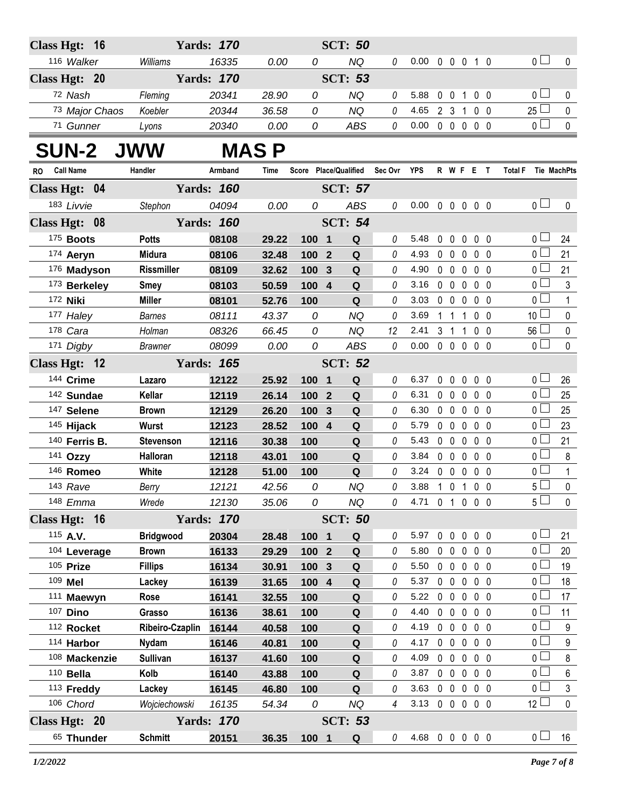| Class Hgt: 16           |                   | <b>Yards: 170</b> |             |       | <b>SCT: 50</b>        |          |                |            |                   |                   |                |                               |                  |
|-------------------------|-------------------|-------------------|-------------|-------|-----------------------|----------|----------------|------------|-------------------|-------------------|----------------|-------------------------------|------------------|
| 116 Walker              | Williams          | 16335             | 0.00        | 0     | <b>NQ</b>             | 0        | 0.00           |            | 0 0 0 1 0         |                   |                | 0 <sub>l</sub>                | $\mathbf 0$      |
| Class Hgt: 20           |                   | <b>Yards: 170</b> |             |       | <b>SCT: 53</b>        |          |                |            |                   |                   |                |                               |                  |
| 72 Nash                 | Fleming           | 20341             | 28.90       | 0     | <b>NQ</b>             | 0        | 5.88           |            | 0 0 1 0 0         |                   |                | 0 <sub>1</sub>                |                  |
| 73 Major Chaos          | Koebler           | 20344             | 36.58       | 0     | <b>NQ</b>             | $\theta$ | 4.65           |            | 2 3 1 0 0         |                   |                | $25\Box$                      | 0<br>$\mathbf 0$ |
| 71 Gunner               | Lyons             | 20340             | 0.00        | 0     | ABS                   | 0        | 0.00           |            | $00000$           |                   |                | 0 <sup>1</sup>                | $\mathbf 0$      |
|                         |                   |                   |             |       |                       |          |                |            |                   |                   |                |                               |                  |
| <b>SUN-2 JWW</b>        |                   |                   | <b>MASP</b> |       |                       |          |                |            |                   |                   |                |                               |                  |
| <b>Call Name</b><br>RO. | Handler           | Armband           | Time        |       | Score Place/Qualified | Sec Ovr  | <b>YPS</b>     |            | R W F E T         |                   |                | <b>Total F</b><br>Tie MachPts |                  |
| Class Hgt: 04           |                   | <b>Yards: 160</b> |             |       | <b>SCT: 57</b>        |          |                |            |                   |                   |                |                               |                  |
| 183 Livvie              | Stephon           | 04094             | 0.00        | 0     | ABS                   | 0        | 0.00           |            | 00000             |                   |                | 0 <sub>0</sub>                | 0                |
| Class Hgt: 08           |                   | <b>Yards: 160</b> |             |       | <b>SCT: 54</b>        |          |                |            |                   |                   |                |                               |                  |
| 175 Boots               | <b>Potts</b>      | 08108             | 29.22       | 100 1 | $\mathbf Q$           | 0        | 5.48           | $0\quad 0$ |                   | $0\quad 0\quad 0$ |                | 0 <sub>1</sub>                | 24               |
| 174 Aeryn               | <b>Midura</b>     | 08106             | 32.48       | 100 2 | Q                     | 0        | 4.93           | $0\quad 0$ | $\mathbf 0$       |                   | $0\quad 0$     | 0 <sub>0</sub>                | 21               |
| 176 Madyson             | <b>Rissmiller</b> | 08109             | 32.62       | 100 3 | Q                     | 0        | 4.90           |            | $0\quad 0\quad 0$ |                   | 0 <sub>0</sub> | 0 <sub>1</sub>                | 21               |
| 173 Berkeley            | <b>Smey</b>       | 08103             | 50.59       | 100 4 | ${\bf Q}$             | 0        | 3.16           |            | 00000             |                   |                | 0 <sub>1</sub>                | 3                |
| 172 <b>Niki</b>         | <b>Miller</b>     | 08101             | 52.76       | 100   | Q                     | 0        | 3.03           |            | $0\quad 0\quad 0$ |                   | $0\quad 0$     | 0 <sub>1</sub>                | $\mathbf{1}$     |
| 177 Haley               | <b>Barnes</b>     | 08111             | 43.37       | 0     | NQ                    | 0        | 3.69           |            | $1\quad1$         | 100               |                | 10 <sup>1</sup>               | $\mathbf 0$      |
| 178 Cara                | Holman            | 08326             | 66.45       | 0     | <b>NQ</b>             | 12       | 2.41           |            | $3 \t1 \t1$       |                   | 0 <sub>0</sub> | $56 \Box$                     | $\mathbf 0$      |
| 171 Digby               | <b>Brawner</b>    | 08099             | 0.00        | 0     | ABS                   | 0        | 0.00           |            | 00000             |                   |                | $\overline{0}$                | $\mathbf 0$      |
| Class Hgt: 12           |                   | <b>Yards: 165</b> |             |       | <b>SCT: 52</b>        |          |                |            |                   |                   |                |                               |                  |
| 144 Crime               | Lazaro            | 12122             | 25.92       | 100 1 | Q                     | 0        | 6.37           | $0\quad 0$ | $\mathbf 0$       |                   | 0 <sub>0</sub> | 0 <sub>1</sub>                | 26               |
| 142 Sundae              | Kellar            | 12119             | 26.14       | 100 2 | Q                     | 0        | 6.31           |            | 00000             |                   |                | 0 <sub>1</sub>                | 25               |
| 147 Selene              | <b>Brown</b>      | 12129             | 26.20       | 100 3 | Q                     | 0        | 6.30           |            | $0\quad 0\quad 0$ |                   | $0\quad 0$     | 0 <sub>1</sub>                | 25               |
| 145 Hijack              | Wurst             | 12123             | 28.52       | 100 4 | ${\bf Q}$             | 0        | 5.79           |            | 00000             |                   |                | 0 <sub>0</sub>                | 23               |
| 140 Ferris B.           | <b>Stevenson</b>  | 12116             | 30.38       | 100   | Q                     | 0        | 5.43           |            | $0\quad 0\quad 0$ |                   | 0 <sub>0</sub> | 0 <sup>1</sup>                | 21               |
| 141 Ozzy                | Halloran          | 12118             | 43.01       | 100   | ${\bf Q}$             | 0        | 3.84           |            | $0\quad 0\quad 0$ |                   | $0\quad 0$     | $\overline{0}$                | 8                |
| 146 Romeo               | White             | 12128             | 51.00       | 100   | Q                     | $\theta$ | 3.24           |            | 00000             |                   |                | $\overline{0}$                | $\mathbf{1}$     |
| 143 Rave                | Berry             | 12121             | 42.56       | 0     | NQ                    | 0        | 3.88           |            | 1 0 1 0 0         |                   |                | $5\overline{\Box}$            | $\pmb{0}$        |
| 148 Emma                | Wrede             | 12130             | 35.06       | 0     | NQ                    | 0        | 4.71 0 1 0 0 0 |            |                   |                   |                | 5 <sup>1</sup>                | $\mathbf 0$      |
| Class Hgt: 16           |                   | <b>Yards: 170</b> |             |       | <b>SCT: 50</b>        |          |                |            |                   |                   |                |                               |                  |
| 115 A.V.                | <b>Bridgwood</b>  | 20304             | 28.48       | 100 1 | Q                     | 0        | 5.97           | $0\quad 0$ | $\mathbf 0$       |                   | $0\quad 0$     | 0 <sub>1</sub>                | 21               |
| 104 Leverage            | <b>Brown</b>      | 16133             | 29.29       | 100 2 | $\mathbf Q$           | 0        | 5.80           | $0\quad 0$ | $\mathbf 0$       |                   | $0\quad 0$     | 0 <sub>1</sub>                | 20               |
| 105 Prize               | <b>Fillips</b>    | 16134             | 30.91       | 100 3 | ${\bf Q}$             | 0        | 5.50           | $0\quad 0$ | $\mathbf 0$       |                   | $0\quad 0$     | 0 <sub>0</sub>                | 19               |
| 109 Mel                 | Lackey            | 16139             | 31.65       | 100 4 | $\mathbf Q$           | 0        | 5.37           | $0\quad 0$ | $\mathbf 0$       |                   | 0 <sub>0</sub> | 0 <sub>0</sub>                | 18               |
| 111 Maewyn              | Rose              | 16141             | 32.55       | 100   | $\mathbf Q$           | 0        | 5.22           | $0\quad 0$ | 0                 |                   | 0 <sub>0</sub> | 0 <sub>0</sub>                | 17               |
| 107 Dino                | Grasso            | 16136             | 38.61       | 100   | ${\bf Q}$             | 0        | 4.40           | $0\quad 0$ | $\mathbf 0$       |                   | 0 <sub>0</sub> | 0 <sub>1</sub>                | 11               |
| 112 Rocket              | Ribeiro-Czaplin   | 16144             | 40.58       | 100   | Q                     | 0        | 4.19           | $0\quad 0$ | $\mathbf 0$       |                   | $0\quad 0$     | $\overline{0}$                | $\boldsymbol{9}$ |
| 114 Harbor              | <b>Nydam</b>      | 16146             | 40.81       | 100   | ${\bf Q}$             | 0        | 4.17           | $0\quad 0$ | $\mathbf 0$       |                   | 0 <sub>0</sub> | 0 <sub>1</sub>                | $\boldsymbol{9}$ |
| 108 Mackenzie           | <b>Sullivan</b>   | 16137             | 41.60       | 100   | Q                     | 0        | 4.09           | $0\quad 0$ | $\mathbf 0$       |                   | 0 <sub>0</sub> | $\overline{0}$                | 8                |
| $110$ Bella             | Kolb              | 16140             | 43.88       | 100   | ${\bf Q}$             | 0        | 3.87           | $0\quad 0$ | $\mathbf 0$       |                   | 0 <sub>0</sub> | 0 <sub>0</sub>                | $\,6\,$          |
| 113 Freddy              | Lackey            | 16145             | 46.80       | 100   | Q                     | 0        | 3.63           | $0\quad 0$ | $\mathbf 0$       |                   | 0 <sub>0</sub> | $\overline{0}$                | $\mathfrak{S}$   |
| 106 Chord               | Wojciechowski     | 16135             | 54.34       | 0     | NQ                    | 4        | 3.13           |            | $0\quad 0\quad 0$ |                   | $0\quad 0$     | $12 \Box$                     | $\mathbf 0$      |
| Class Hgt: 20           |                   | <b>Yards: 170</b> |             |       | <b>SCT: 53</b>        |          |                |            |                   |                   |                |                               |                  |
| 65 Thunder              | <b>Schmitt</b>    | 20151             | 36.35       | 100 1 | $\mathbf Q$           | 0        | 4.68 0 0 0 0 0 |            |                   |                   |                | 0 <sub>0</sub>                | 16               |